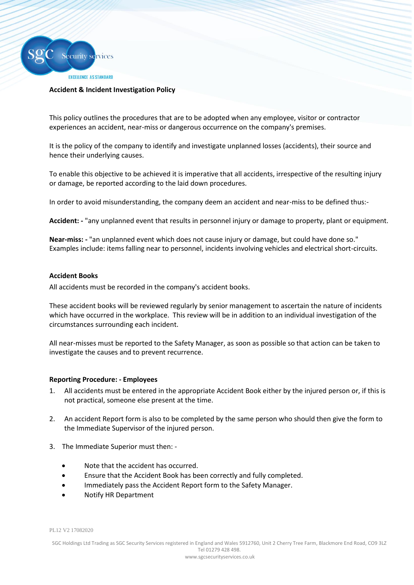

### **Accident & Incident Investigation Policy**

This policy outlines the procedures that are to be adopted when any employee, visitor or contractor experiences an accident, near-miss or dangerous occurrence on the company's premises.

It is the policy of the company to identify and investigate unplanned losses (accidents), their source and hence their underlying causes.

To enable this objective to be achieved it is imperative that all accidents, irrespective of the resulting injury or damage, be reported according to the laid down procedures.

In order to avoid misunderstanding, the company deem an accident and near-miss to be defined thus:-

**Accident: -** "any unplanned event that results in personnel injury or damage to property, plant or equipment.

**Near-miss: -** "an unplanned event which does not cause injury or damage, but could have done so." Examples include: items falling near to personnel, incidents involving vehicles and electrical short-circuits.

### **Accident Books**

All accidents must be recorded in the company's accident books.

These accident books will be reviewed regularly by senior management to ascertain the nature of incidents which have occurred in the workplace. This review will be in addition to an individual investigation of the circumstances surrounding each incident.

All near-misses must be reported to the Safety Manager, as soon as possible so that action can be taken to investigate the causes and to prevent recurrence.

#### **Reporting Procedure: - Employees**

- 1. All accidents must be entered in the appropriate Accident Book either by the injured person or, if this is not practical, someone else present at the time.
- 2. An accident Report form is also to be completed by the same person who should then give the form to the Immediate Supervisor of the injured person.
- 3. The Immediate Superior must then:
	- Note that the accident has occurred.
	- Ensure that the Accident Book has been correctly and fully completed.
	- Immediately pass the Accident Report form to the Safety Manager.
	- Notify HR Department

PL12 V2 17082020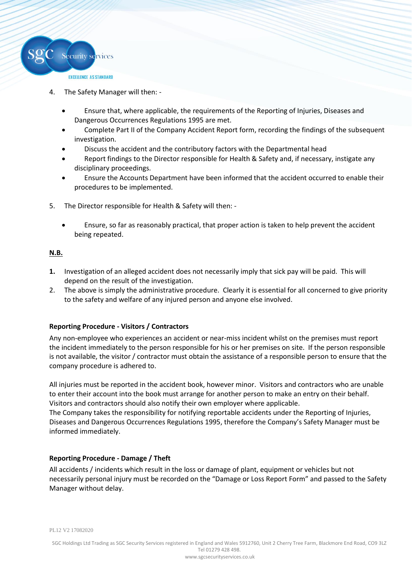

- 4. The Safety Manager will then:
	- Ensure that, where applicable, the requirements of the Reporting of Injuries, Diseases and Dangerous Occurrences Regulations 1995 are met.
	- Complete Part II of the Company Accident Report form, recording the findings of the subsequent investigation.
	- Discuss the accident and the contributory factors with the Departmental head
	- Report findings to the Director responsible for Health & Safety and, if necessary, instigate any disciplinary proceedings.
	- Ensure the Accounts Department have been informed that the accident occurred to enable their procedures to be implemented.
- 5. The Director responsible for Health & Safety will then:
	- Ensure, so far as reasonably practical, that proper action is taken to help prevent the accident being repeated.

### **N.B.**

- **1.** Investigation of an alleged accident does not necessarily imply that sick pay will be paid. This will depend on the result of the investigation.
- 2. The above is simply the administrative procedure. Clearly it is essential for all concerned to give priority to the safety and welfare of any injured person and anyone else involved.

## **Reporting Procedure - Visitors / Contractors**

Any non-employee who experiences an accident or near-miss incident whilst on the premises must report the incident immediately to the person responsible for his or her premises on site. If the person responsible is not available, the visitor / contractor must obtain the assistance of a responsible person to ensure that the company procedure is adhered to.

All injuries must be reported in the accident book, however minor. Visitors and contractors who are unable to enter their account into the book must arrange for another person to make an entry on their behalf. Visitors and contractors should also notify their own employer where applicable.

The Company takes the responsibility for notifying reportable accidents under the Reporting of Injuries, Diseases and Dangerous Occurrences Regulations 1995, therefore the Company's Safety Manager must be informed immediately.

## **Reporting Procedure - Damage / Theft**

All accidents / incidents which result in the loss or damage of plant, equipment or vehicles but not necessarily personal injury must be recorded on the "Damage or Loss Report Form" and passed to the Safety Manager without delay.